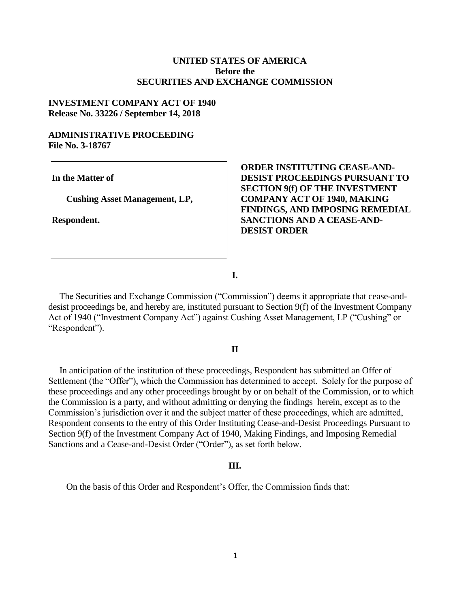## **UNITED STATES OF AMERICA Before the SECURITIES AND EXCHANGE COMMISSION**

## **INVESTMENT COMPANY ACT OF 1940 Release No. 33226 / September 14, 2018**

### **ADMINISTRATIVE PROCEEDING File No. 3-18767**

**In the Matter of**

 **Cushing Asset Management, LP,** 

**Respondent.**

**ORDER INSTITUTING CEASE-AND-DESIST PROCEEDINGS PURSUANT TO SECTION 9(f) OF THE INVESTMENT COMPANY ACT OF 1940, MAKING FINDINGS, AND IMPOSING REMEDIAL SANCTIONS AND A CEASE-AND-DESIST ORDER**

**I.**

 The Securities and Exchange Commission ("Commission") deems it appropriate that cease-anddesist proceedings be, and hereby are, instituted pursuant to Section 9(f) of the Investment Company Act of 1940 ("Investment Company Act") against Cushing Asset Management, LP ("Cushing" or "Respondent").

#### **II**

 In anticipation of the institution of these proceedings, Respondent has submitted an Offer of Settlement (the "Offer"), which the Commission has determined to accept. Solely for the purpose of these proceedings and any other proceedings brought by or on behalf of the Commission, or to which the Commission is a party, and without admitting or denying the findings herein, except as to the Commission's jurisdiction over it and the subject matter of these proceedings, which are admitted, Respondent consents to the entry of this Order Instituting Cease-and-Desist Proceedings Pursuant to Section 9(f) of the Investment Company Act of 1940, Making Findings, and Imposing Remedial Sanctions and a Cease-and-Desist Order ("Order"), as set forth below.

#### **III.**

On the basis of this Order and Respondent's Offer, the Commission finds that: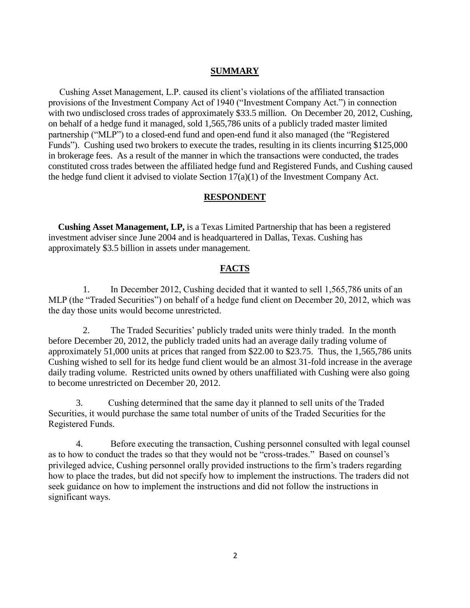### **SUMMARY**

 Cushing Asset Management, L.P. caused its client's violations of the affiliated transaction provisions of the Investment Company Act of 1940 ("Investment Company Act.") in connection with two undisclosed cross trades of approximately \$33.5 million. On December 20, 2012, Cushing, on behalf of a hedge fund it managed, sold 1,565,786 units of a publicly traded master limited partnership ("MLP") to a closed-end fund and open-end fund it also managed (the "Registered Funds"). Cushing used two brokers to execute the trades, resulting in its clients incurring \$125,000 in brokerage fees. As a result of the manner in which the transactions were conducted, the trades constituted cross trades between the affiliated hedge fund and Registered Funds, and Cushing caused the hedge fund client it advised to violate Section 17(a)(1) of the Investment Company Act.

### **RESPONDENT**

 **Cushing Asset Management, LP,** is a Texas Limited Partnership that has been a registered investment adviser since June 2004 and is headquartered in Dallas, Texas. Cushing has approximately \$3.5 billion in assets under management.

## **FACTS**

1. In December 2012, Cushing decided that it wanted to sell 1,565,786 units of an MLP (the "Traded Securities") on behalf of a hedge fund client on December 20, 2012, which was the day those units would become unrestricted.

2. The Traded Securities' publicly traded units were thinly traded. In the month before December 20, 2012, the publicly traded units had an average daily trading volume of approximately 51,000 units at prices that ranged from \$22.00 to \$23.75. Thus, the 1,565,786 units Cushing wished to sell for its hedge fund client would be an almost 31-fold increase in the average daily trading volume. Restricted units owned by others unaffiliated with Cushing were also going to become unrestricted on December 20, 2012.

3. Cushing determined that the same day it planned to sell units of the Traded Securities, it would purchase the same total number of units of the Traded Securities for the Registered Funds.

4. Before executing the transaction, Cushing personnel consulted with legal counsel as to how to conduct the trades so that they would not be "cross-trades." Based on counsel's privileged advice, Cushing personnel orally provided instructions to the firm's traders regarding how to place the trades, but did not specify how to implement the instructions. The traders did not seek guidance on how to implement the instructions and did not follow the instructions in significant ways.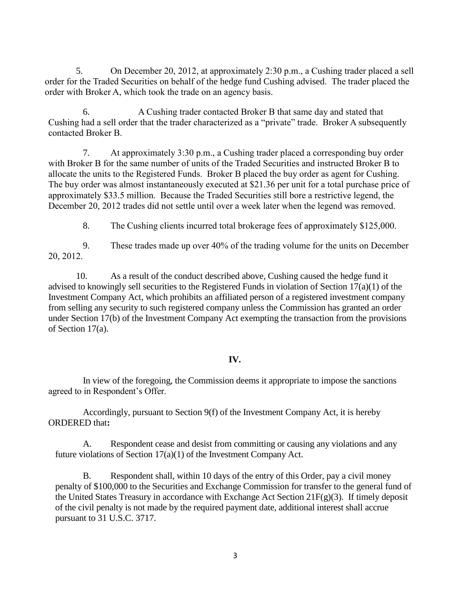5. On December 20, 2012, at approximately 2:30 p.m., a Cushing trader placed a sell order for the Traded Securities on behalf of the hedge fund Cushing advised. The trader placed the order with Broker A, which took the trade on an agency basis.

6. A Cushing trader contacted Broker B that same day and stated that Cushing had a sell order that the trader characterized as a "private" trade. Broker A subsequently contacted Broker B.

7. At approximately 3:30 p.m., a Cushing trader placed a corresponding buy order with Broker B for the same number of units of the Traded Securities and instructed Broker B to allocate the units to the Registered Funds. Broker B placed the buy order as agent for Cushing. The buy order was almost instantaneously executed at \$21.36 per unit for a total purchase price of approximately \$33.5 million. Because the Traded Securities still bore a restrictive legend, the December 20, 2012 trades did not settle until over a week later when the legend was removed.

8. The Cushing clients incurred total brokerage fees of approximately \$125,000.

9. These trades made up over 40% of the trading volume for the units on December 20, 2012.

10. As a result of the conduct described above, Cushing caused the hedge fund it advised to knowingly sell securities to the Registered Funds in violation of Section 17(a)(1) of the Investment Company Act, which prohibits an affiliated person of a registered investment company from selling any security to such registered company unless the Commission has granted an order under Section 17(b) of the Investment Company Act exempting the transaction from the provisions of Section 17(a).

# **IV.**

In view of the foregoing, the Commission deems it appropriate to impose the sanctions agreed to in Respondent's Offer.

Accordingly, pursuant to Section 9(f) of the Investment Company Act, it is hereby ORDERED that**:**

A. Respondent cease and desist from committing or causing any violations and any future violations of Section 17(a)(1) of the Investment Company Act.

B. Respondent shall, within 10 days of the entry of this Order, pay a civil money penalty of \$100,000 to the Securities and Exchange Commission for transfer to the general fund of the United States Treasury in accordance with Exchange Act Section 21F(g)(3). If timely deposit of the civil penalty is not made by the required payment date, additional interest shall accrue pursuant to 31 U.S.C. 3717.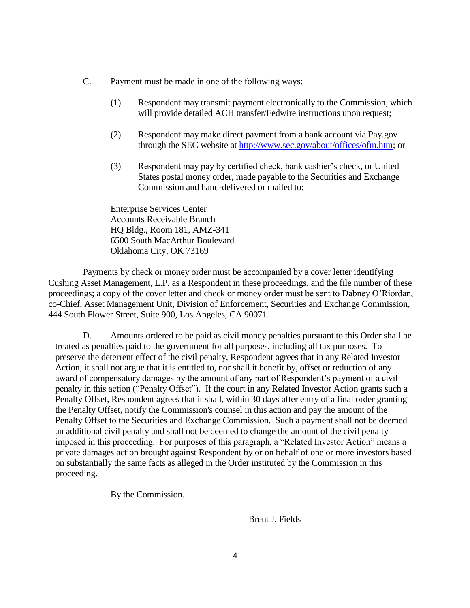- C. Payment must be made in one of the following ways:
	- (1) Respondent may transmit payment electronically to the Commission, which will provide detailed ACH transfer/Fedwire instructions upon request;
	- (2) Respondent may make direct payment from a bank account via Pay.gov through the SEC website at [http://www.sec.gov/about/offices/ofm.htm;](http://www.sec.gov/about/offices/ofm.htm) or
	- (3) Respondent may pay by certified check, bank cashier's check, or United States postal money order, made payable to the Securities and Exchange Commission and hand-delivered or mailed to:

Enterprise Services Center Accounts Receivable Branch HQ Bldg., Room 181, AMZ-341 6500 South MacArthur Boulevard Oklahoma City, OK 73169

Payments by check or money order must be accompanied by a cover letter identifying Cushing Asset Management, L.P. as a Respondent in these proceedings, and the file number of these proceedings; a copy of the cover letter and check or money order must be sent to Dabney O'Riordan, co-Chief, Asset Management Unit, Division of Enforcement, Securities and Exchange Commission, 444 South Flower Street, Suite 900, Los Angeles, CA 90071.

D. Amounts ordered to be paid as civil money penalties pursuant to this Order shall be treated as penalties paid to the government for all purposes, including all tax purposes. To preserve the deterrent effect of the civil penalty, Respondent agrees that in any Related Investor Action, it shall not argue that it is entitled to, nor shall it benefit by, offset or reduction of any award of compensatory damages by the amount of any part of Respondent's payment of a civil penalty in this action ("Penalty Offset"). If the court in any Related Investor Action grants such a Penalty Offset, Respondent agrees that it shall, within 30 days after entry of a final order granting the Penalty Offset, notify the Commission's counsel in this action and pay the amount of the Penalty Offset to the Securities and Exchange Commission. Such a payment shall not be deemed an additional civil penalty and shall not be deemed to change the amount of the civil penalty imposed in this proceeding. For purposes of this paragraph, a "Related Investor Action" means a private damages action brought against Respondent by or on behalf of one or more investors based on substantially the same facts as alleged in the Order instituted by the Commission in this proceeding.

By the Commission.

Brent J. Fields